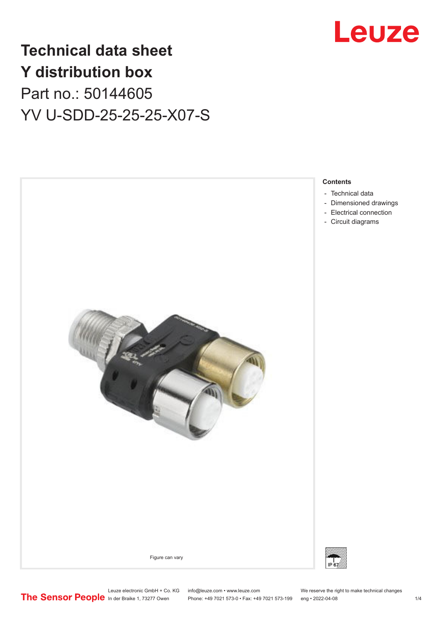

## **Technical data sheet Y distribution box** Part no.: 50144605 YV U-SDD-25-25-25-X07-S



Leuze electronic GmbH + Co. KG info@leuze.com • www.leuze.com We reserve the right to make technical changes<br>
The Sensor People in der Braike 1, 73277 Owen Phone: +49 7021 573-0 • Fax: +49 7021 573-199 eng • 2022-04-08

Phone: +49 7021 573-0 • Fax: +49 7021 573-199 eng • 2022-04-08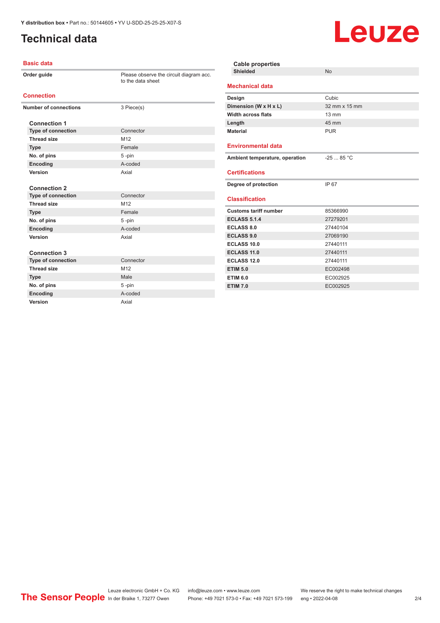## <span id="page-1-0"></span>**Technical data**

#### **Basic data**

|                              | Order guide               | Please observe the circuit diagram acc.<br>to the data sheet |  |
|------------------------------|---------------------------|--------------------------------------------------------------|--|
| <b>Connection</b>            |                           |                                                              |  |
| <b>Number of connections</b> |                           | 3 Piece(s)                                                   |  |
|                              | <b>Connection 1</b>       |                                                              |  |
|                              | <b>Type of connection</b> | Connector                                                    |  |
|                              | <b>Thread size</b>        | M <sub>12</sub>                                              |  |
|                              | <b>Type</b>               | Female                                                       |  |
|                              | No. of pins               | 5-pin                                                        |  |
|                              | Encoding                  | A-coded                                                      |  |
|                              | Version                   | Axial                                                        |  |
|                              | <b>Connection 2</b>       |                                                              |  |
|                              | <b>Type of connection</b> | Connector                                                    |  |
|                              | <b>Thread size</b>        | M <sub>12</sub>                                              |  |
|                              | <b>Type</b>               | Female                                                       |  |
|                              | No. of pins               | 5-pin                                                        |  |
|                              | Encoding                  | A-coded                                                      |  |
|                              | Version                   | Axial                                                        |  |
|                              | <b>Connection 3</b>       |                                                              |  |
|                              | <b>Type of connection</b> | Connector                                                    |  |
|                              | <b>Thread size</b>        | M <sub>12</sub>                                              |  |
|                              | <b>Type</b>               | Male                                                         |  |
|                              | No. of pins               | $5 - pin$                                                    |  |
|                              | Encoding                  | A-coded                                                      |  |
|                              | Version                   | Axial                                                        |  |

| <b>Cable properties</b>        |                 |  |  |
|--------------------------------|-----------------|--|--|
| <b>Shielded</b>                | <b>No</b>       |  |  |
| <b>Mechanical data</b>         |                 |  |  |
| Design                         | Cubic           |  |  |
| Dimension (W x H x L)          | 32 mm x 15 mm   |  |  |
| <b>Width across flats</b>      | $13 \text{ mm}$ |  |  |
| Length                         | 45 mm           |  |  |
| <b>Material</b>                | <b>PUR</b>      |  |  |
| <b>Environmental data</b>      |                 |  |  |
| Ambient temperature, operation | $-2585 °C$      |  |  |
| <b>Certifications</b>          |                 |  |  |
| Degree of protection           | IP 67           |  |  |
| <b>Classification</b>          |                 |  |  |
| <b>Customs tariff number</b>   | 85366990        |  |  |
| <b>ECLASS 5.1.4</b>            | 27279201        |  |  |
| ECLASS 8.0                     | 27440104        |  |  |
| <b>ECLASS 9.0</b>              | 27069190        |  |  |
| <b>ECLASS 10.0</b>             | 27440111        |  |  |
| ECLASS 11.0                    | 27440111        |  |  |
| ECLASS <sub>12.0</sub>         | 27440111        |  |  |
| <b>ETIM 5.0</b>                | EC002498        |  |  |
| <b>ETIM 6.0</b>                | EC002925        |  |  |
| <b>ETIM 7.0</b>                | EC002925        |  |  |

Leuze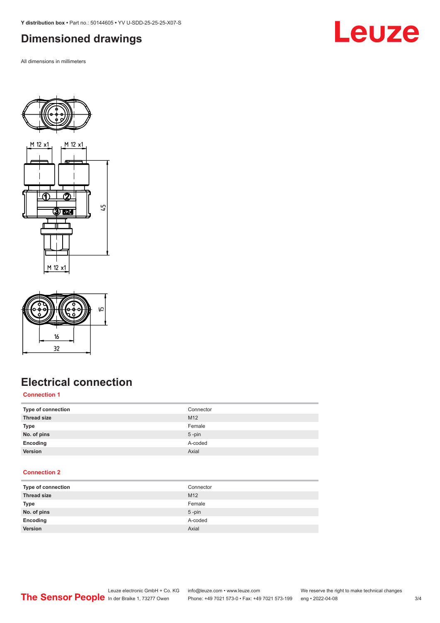<span id="page-2-0"></span>**Y distribution box •** Part no.: 50144605 **•** YV U-SDD-25-25-25-X07-S

## **Dimensioned drawings**

All dimensions in millimeters





## **Electrical connection**

#### **Connection 1**

| Type of connection | Connector |
|--------------------|-----------|
| <b>Thread size</b> | M12       |
| <b>Type</b>        | Female    |
| No. of pins        | $5$ -pin  |
| Encoding           | A-coded   |
| Version            | Axial     |

#### **Connection 2**

| Type of connection | Connector       |
|--------------------|-----------------|
| <b>Thread size</b> | M <sub>12</sub> |
| Type               | Female          |
| No. of pins        | $5$ -pin        |
| Encoding           | A-coded         |
| Version            | Axial           |